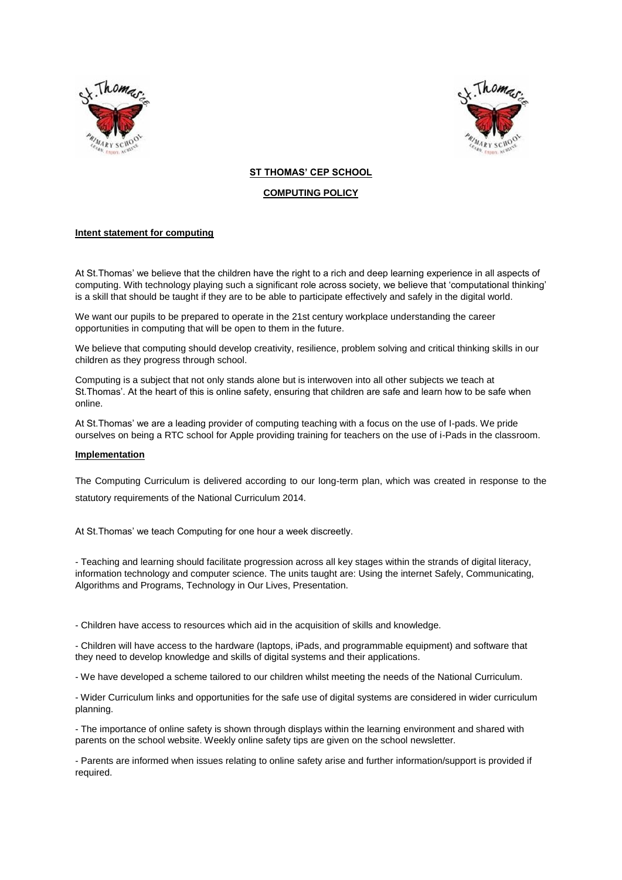



# **ST THOMAS' CEP SCHOOL**

# **COMPUTING POLICY**

# **Intent statement for computing**

At St.Thomas' we believe that the children have the right to a rich and deep learning experience in all aspects of computing. With technology playing such a significant role across society, we believe that 'computational thinking' is a skill that should be taught if they are to be able to participate effectively and safely in the digital world.

We want our pupils to be prepared to operate in the 21st century workplace understanding the career opportunities in computing that will be open to them in the future.

We believe that computing should develop creativity, resilience, problem solving and critical thinking skills in our children as they progress through school.

Computing is a subject that not only stands alone but is interwoven into all other subjects we teach at St.Thomas'. At the heart of this is online safety, ensuring that children are safe and learn how to be safe when online.

At St.Thomas' we are a leading provider of computing teaching with a focus on the use of I-pads. We pride ourselves on being a RTC school for Apple providing training for teachers on the use of i-Pads in the classroom.

## **Implementation**

The Computing Curriculum is delivered according to our long-term plan, which was created in response to the statutory requirements of the National Curriculum 2014.

At St.Thomas' we teach Computing for one hour a week discreetly.

- Teaching and learning should facilitate progression across all key stages within the strands of digital literacy, information technology and computer science. The units taught are: Using the internet Safely, Communicating, Algorithms and Programs, Technology in Our Lives, Presentation.

- Children have access to resources which aid in the acquisition of skills and knowledge.

- Children will have access to the hardware (laptops, iPads, and programmable equipment) and software that they need to develop knowledge and skills of digital systems and their applications.

- We have developed a scheme tailored to our children whilst meeting the needs of the National Curriculum.

- Wider Curriculum links and opportunities for the safe use of digital systems are considered in wider curriculum planning.

- The importance of online safety is shown through displays within the learning environment and shared with parents on the school website. Weekly online safety tips are given on the school newsletter.

- Parents are informed when issues relating to online safety arise and further information/support is provided if required.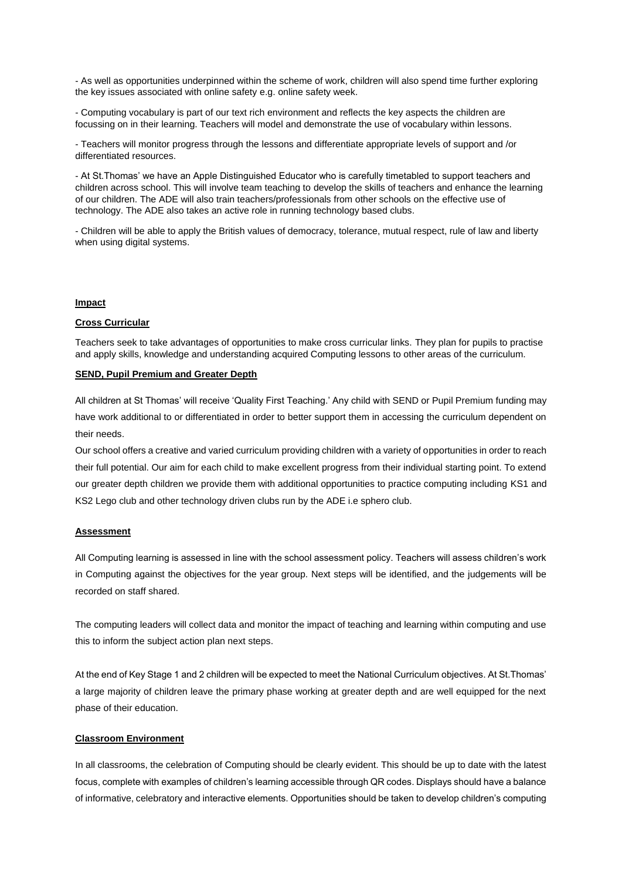- As well as opportunities underpinned within the scheme of work, children will also spend time further exploring the key issues associated with online safety e.g. online safety week.

- Computing vocabulary is part of our text rich environment and reflects the key aspects the children are focussing on in their learning. Teachers will model and demonstrate the use of vocabulary within lessons.

- Teachers will monitor progress through the lessons and differentiate appropriate levels of support and /or differentiated resources.

- At St.Thomas' we have an Apple Distinguished Educator who is carefully timetabled to support teachers and children across school. This will involve team teaching to develop the skills of teachers and enhance the learning of our children. The ADE will also train teachers/professionals from other schools on the effective use of technology. The ADE also takes an active role in running technology based clubs.

- Children will be able to apply the British values of democracy, tolerance, mutual respect, rule of law and liberty when using digital systems.

## **Impact**

#### **Cross Curricular**

Teachers seek to take advantages of opportunities to make cross curricular links. They plan for pupils to practise and apply skills, knowledge and understanding acquired Computing lessons to other areas of the curriculum.

## **SEND, Pupil Premium and Greater Depth**

All children at St Thomas' will receive 'Quality First Teaching.' Any child with SEND or Pupil Premium funding may have work additional to or differentiated in order to better support them in accessing the curriculum dependent on their needs.

Our school offers a creative and varied curriculum providing children with a variety of opportunities in order to reach their full potential. Our aim for each child to make excellent progress from their individual starting point. To extend our greater depth children we provide them with additional opportunities to practice computing including KS1 and KS2 Lego club and other technology driven clubs run by the ADE i.e sphero club.

#### **Assessment**

All Computing learning is assessed in line with the school assessment policy. Teachers will assess children's work in Computing against the objectives for the year group. Next steps will be identified, and the judgements will be recorded on staff shared.

The computing leaders will collect data and monitor the impact of teaching and learning within computing and use this to inform the subject action plan next steps.

At the end of Key Stage 1 and 2 children will be expected to meet the National Curriculum objectives. At St.Thomas' a large majority of children leave the primary phase working at greater depth and are well equipped for the next phase of their education.

#### **Classroom Environment**

In all classrooms, the celebration of Computing should be clearly evident. This should be up to date with the latest focus, complete with examples of children's learning accessible through QR codes. Displays should have a balance of informative, celebratory and interactive elements. Opportunities should be taken to develop children's computing